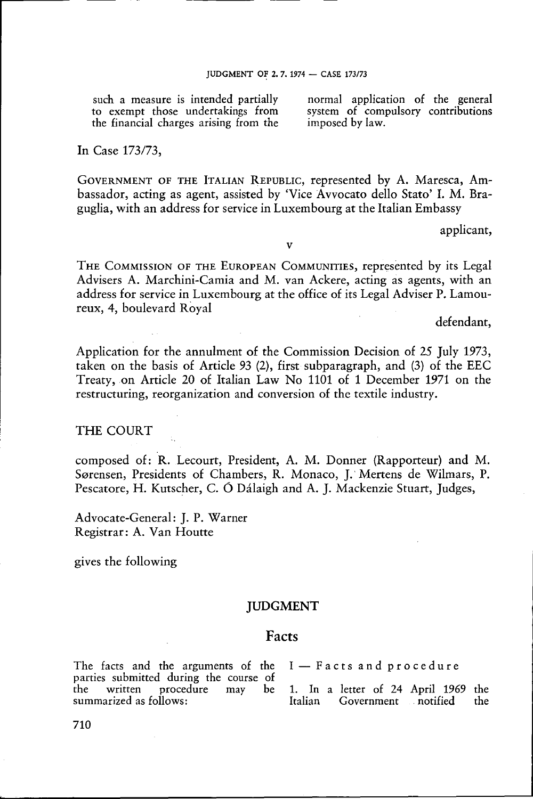such a measure is intended partially to exempt those undertakings from the financial charges arising from the

normal application of the general system of compulsory contributions imposed by law.

In Case 173/73,

Government of the Italian REPUBLIC, represented by A. Maresca, Ambassador, acting as agent, assisted by 'Vice Avvocato dello Stato' I. M. Braguglia, with an address for service in Luxembourg at the Italian Embassy

applicant,

v

The Commission of the European COMMUNITIES, represented by its Legal Advisers A. Marchini-Camia and M. van Ackere, acting as agents, with an address for service in Luxembourg at the office of its Legal Adviser P. Lamoureux, 4, boulevard Royal

defendant,

Application for the annulment of the Commission Decision of 25 July 1973, taken on the basis of Article 93 (2), first subparagraph, and (3) of the EEC Treaty, on Article 20 of Italian Law No 1101 of <sup>1</sup> December 1971 on the restructuring, reorganization and conversion of the textile industry.

### THE COURT

composed of: R. Lecourt, President, A. M. Donner (Rapporteur) and M. Sørensen, Presidents of Chambers, R. Monaco, J. Mertens de Wilmars, P. Pescatore, H. Kutscher, C. Ó Dálaigh and A. J. Mackenzie Stuart, Judges,

Advocate-General: J. P. Warner Registrar: A. Van Houtte

gives the following

## JUDGMENT

## Facts

The facts and the arguments of the parties submitted during the course of<br>the written procedure may be written procedure may summarized as follows:

<sup>I</sup> — Facts and procedure

1. In a letter of 24 April 1969 the Italian Government notified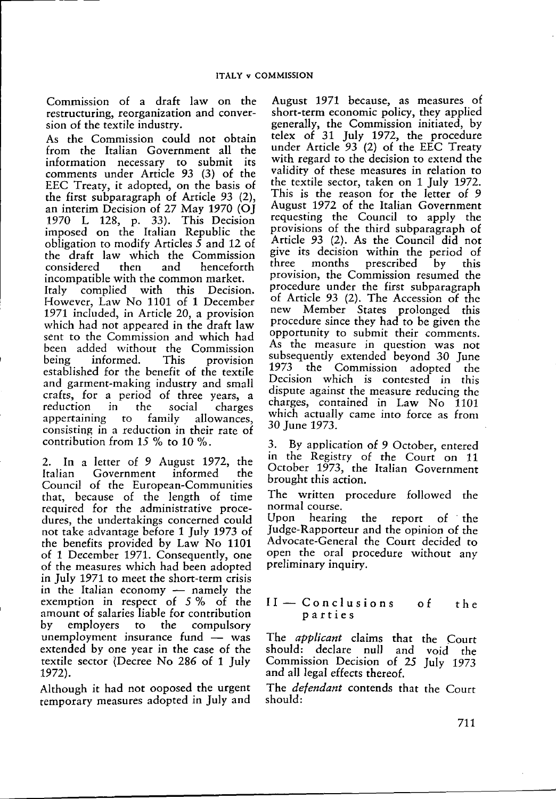Commission of a draft law on the restructuring, reorganization and conversion of the textile industry.

As the Commission could not obtain from the Italian Government all the information necessary to submit its comments under Article 93 (3) of the EEC Treaty, it adopted, on the basis of the first subparagraph of Article 93 (2), an interim Decision of 27 May 1970 (OJ 1970 L 128, p. 33). This Decision imposed on the Italian Republic the obligation to modify Articles  $\bar{5}$  and 12 of the draft law which the Commission considered then and henceforth incompatible with the common market.<br>Italy complied with this Decision. complied with this However, Law No 1101 of <sup>1</sup> December 1971 included, in Article 20, a provision which had not appeared in the draft law sent to the Commission and which had been added without the Commission informed. This provision established for the benefit of the textile and garment-making industry and small crafts, for <sup>a</sup> period of three years, a reduction in the social charges<br>appertaining to family allowances, appertaining to consisting in <sup>a</sup> reduction in their rate of contribution from 15 % to 10 %.

2. In a letter of 9 August 1972, the<br>Italian Government informed the Government informed the Council of the European-Communities that, because of the length of time required for the administrative procedures, the undertakings concerned could not take advantage before <sup>1</sup> July 1973 of the benefits provided by Law No 1101 of <sup>1</sup> December 1971. Consequently, one of the measures which had been adopted in July 1971 to meet the short-term crisis in the Italian economy — namely the exemption in respect of 5% of the amount of salaries liable for contribution by employers to the compulsory unemployment insurance fund — was extended by one year in the case of the textile sector (Decree No 286 of <sup>1</sup> July 1972).

Although it had not ooposed the urgent temporary measures adopted in July and

August 1971 because, as measures of short-term economic policy, they applied generally, the Commission initiated, by telex of 31 July 1972, the procedure under Article 93 (2) of the EEC Treaty with regard to the decision to extend the validity of these measures in relation to the textile sector, taken on <sup>1</sup> July 1972. This is the reason for the letter of 9 August 1972 of the Italian Government requesting the Council to apply the provisions of the third subparagraph of Article 93 (2). As the Council did not give its decision within the period of<br>three months prescribed by this prescribed provision, the Commission resumed the procedure under the first subparagraph of Article 93 (2). The Accession of the Member States prolonged this procedure since they had to be given the opportunity to submit their comments. As the measure in question was not subsequently extended beyond 30 June 1973 the Commission adopted the Decision which is contested in this dispute against the measure reducing the charges, contained in Law No 1101 which actually came into force as from 30 June 1973.

3. By application of 9 October, entered in the Registry of the Court on 11 October 1973, the Italian Government brought this action.

The written procedure followed the normal course.

Upon hearing the report of the Judge-Rapporteur and the opinion of the Advocate-General the Court decided to open the oral procedure without any preliminary inquiry.

### II — Conclusions of the parties

The *applicant* claims that the Court should: declare null and void the Commission Decision of 25 July 1973 and all legal effects thereof.

The *defendant* contends that the Court should: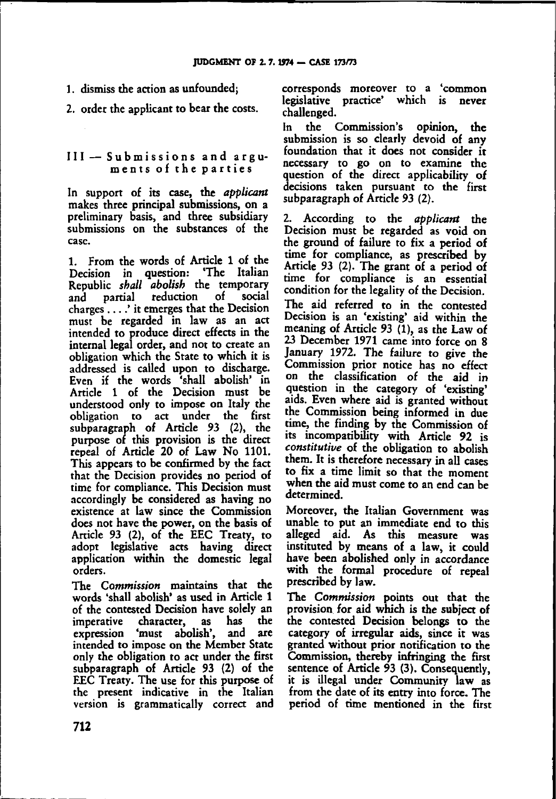1. dismiss the action as unfounded;

2. order the applicant to bear the costs.

### III — Submissions and arguments of the parties

In support of its case, the *applicant* makes three principal submissions, on a preliminary basis, and three subsidiary submissions on the substances of the case.

1. From the words of Article 1 of the Decision in question: 'The Italian Republic *shall abolish* the temporary and partial reduction charges ….' it emerges that the Decision must be regarded in law as an act intended to produce direct effects in the internal legal order, and not to create an obligation which the State to which it is addressed is called upon to discharge. Even if the words 'shall abolish' in Article <sup>1</sup> of the Decision must be understood only to impose on Italy the obligation to act under the first subparagraph of Article 93 (2), the purpose of this provision is the direct repeal of Article 20 of Law No 1101. This appears to be confirmed by the fact that the Decision provides no period of time for compliance. This Decision must accordingly be considered as having no existence at law since the Commission does not have the power, on the basis of Article 93 (2), of the EEC Treaty, to adopt legislative acts having direct application within the domestic legal orders.

The *Commission* maintains that the words 'shall abolish' as used in Article <sup>1</sup> of the contested Decision have solely an imperative character, as has the expression 'must abolish', and are intended to impose on the Member State only the obligation to act under the first subparagraph of Article 93 (2) of the EEC Treaty. The use for this purpose of the present indicative in the Italian version is grammatically correct and

corresponds moreover to a 'common legislative practice' which is never challenged.

In the Commission's opinion, the submission is so clearly devoid of any foundation that it does not consider it necessary to go on to examine the question of the direct applicability of decisions taken pursuant to the first subparagraph of Article 93 (2).

2. According to the *applicant* the Decision must be regarded as void on the ground of failure to fix a period of time for compliance, as prescribed by Article 93 (2). The grant of a period of time for compliance is an essential condition for the legality of the Decision. The aid referred to in the contested Decision is an 'existing' aid within the meaning of Article 93 (1), as the Law of 23 December 1971 came into force on 8 January 1972. The failure to give the Commission prior notice has no effect on the classification of the aid in question in the category of 'existing' aids. Even where aid is granted without the Commission being informed in due time, the finding by the Commission of its incompatibility with Article 92 is *constitutive* of the obligation to abolish them. It is therefore necessary in all cases to fix <sup>a</sup> time limit so that the moment when the aid must come to an end can be determined.

Moreover, the Italian Government was unable to put an immediate end to this alleged aid. As this measure was instituted by means of a law, it could have been abolished only in accordance with the formal procedure of repeal prescribed by law.

The *Commission* points out that the provision for aid which is the subject of the contested Decision belongs to the category of irregular aids, since it was granted without prior notification to the Commission, thereby infringing the first sentence of Article 93 (3). Consequently, it is illegal under Community law as from the date of its entry into force. The period of time mentioned in the first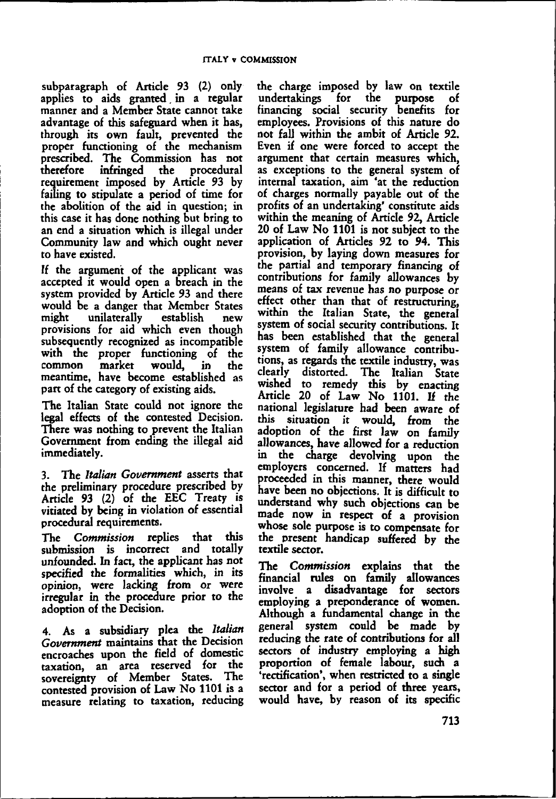subparagraph of Article 93 (2) only applies to aids granted in a regular manner and a Member State cannot take advantage of this safeguard when it has, through its own fault, prevented the proper functioning of the mechanism prescribed. The Commission has not<br>therefore infringed the procedural infringed the procedural requirement imposed by Article 93 by failing to stipulate a period of time for the abolition of the aid in question; in this case it has done nothing but bring to an end a situation which is illegal under Community law and which ought never to have existed.

If the argument of the applicant was accepted it would open <sup>a</sup> breach in the system provided by Article 93 and there would be a danger that Member States<br>might unilaterally establish new unilaterally establish new provisions for aid which even though subsequently recognized as incompatible with the proper functioning of the<br>common market would, in the market meantime, have become established as part of the category of existing aids.

The Italian State could not ignore the legal effects of the contested Decision. There was nothing to prevent the Italian Government from ending the illegal aid immediately.

3. The *Italian Government* asserts that the preliminary procedure prescribed by Article 93 (2) of the EEC Treaty is vitiated by being in violation of essential procedural requirements.

The *Commission* replies that this submission is incorrect and totally unfounded. In fact, the applicant has not specified the formalities which, in its opinion, were lacking from or were irregular in the procedure prior to the adoption of the Decision.

4. As a subsidiary plea the *Italian Government* maintains that the Decision encroaches upon the field of domestic taxation, an area reserved for the sovereignty of Member States. The contested provision of Law No 1101 is a measure relating to taxation, reducing

the charge imposed by law on textile<br>undertakings for the purpose of undertakings for the purpose of financing social security benefits for employees. Provisions of this nature do not fall within the ambit of Article 92. Even if one were forced to accept the argument that certain measures which, as exceptions to the general system of internal taxation, aim 'at the reduction of charges normally payable out of the profits of an undertaking' constitute aids within the meaning of Article 92, Article 20 of Law No 1101 is not subject to the application of Articles 92 to 94. This provision, by laying down measures for the partial and temporary financing of contributions for family allowances by means of tax revenue has no purpose or effect other than that of restructuring, within the Italian State, the general system of social security contributions. It has been established that the general system of family allowance contributions, as regards the textile industry, was clearly distorted. The Italian State wished to remedy this by enacting Article 20 of Law No 1101. If the national legislature had been aware of this situation it would, from the adoption of the first law on family allowances, have allowed for a reduction in the charge devolving upon the employers concerned. If matters had proceeded in this manner, there would have been no objections. It is difficult to understand why such objections can be made now in respect of a provision whose sole purpose is to compensate for the present handicap suffered by the textile sector.

The *Commission* explains that the financial rules on family allowances involve a disadvantage for sectors employing a preponderance of women. Although a fundamental change in the general system could be made by reducing the rate of contributions for all sectors of industry employing a high proportion of female labour, such a 'rectification', when restricted to a single sector and for <sup>a</sup> period of three years, would have, by reason of its specific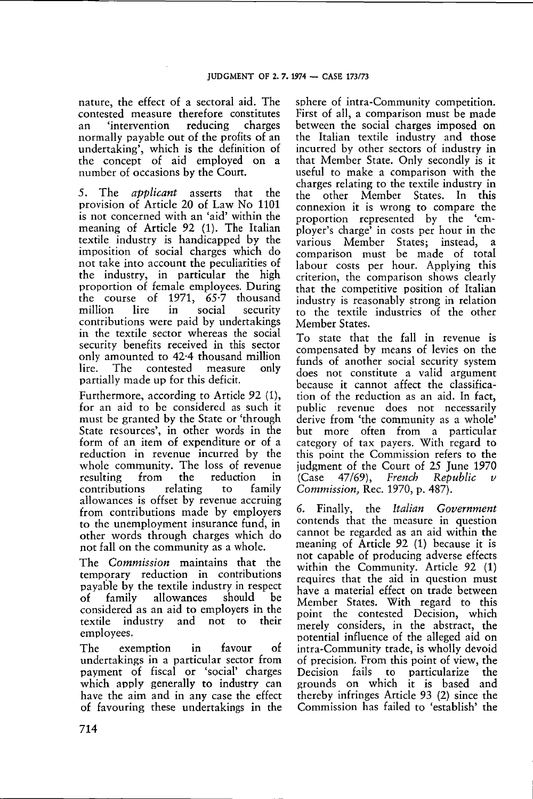nature, the effect of a sectoral aid. The contested measure therefore constitutes an 'intervention reducing charges normally payable out of the profits of an undertaking', which is the definition of the concept of aid employed on a number of occasions by the Court.

5. The *applicant* asserts that the provision of Article 20 of Law No 1101 is not concerned with an 'aid' within the meaning of Article 92 (1). The Italian textile industry is handicapped by the imposition of social charges which do not take into account the peculiarities of the industry, in particular the high proportion of female employees. During the course of 1971, 65.7 thousand<br>million lire in social security in social security contributions were paid by undertakings in the textile sector whereas the social security benefits received in this sector only amounted to 42.4 thousand million<br>lire. The contested measure only contested partially made up for this deficit.

Furthermore, according to Article 92 (1), for an aid to be considered as such it must be granted by the State or 'through State resources', in other words in the form of an item of expenditure or of a reduction in revenue incurred by the whole community. The loss of revenue resulting from the reduction in<br>contributions relating to family contributions allowances is offset by revenue accruing from contributions made by employers to the unemployment insurance fund, in other words through charges which do not fall on the community as <sup>a</sup> whole.

The *Commission* maintains that the temporary reduction in contributions payable by the textile industry in respect<br>of family allowances should be of family allowances should be considered as an aid to employers in the textile industry employees.

The exemption in favour of undertakings in a particular sector from payment of fiscal or 'social' charges which apply generally to industry can have the aim and in any case the effect of favouring these undertakings in the

sphere of intra-Community competition. First of all, a comparison must be made between the social charges imposed on the Italian textile industry and those incurred by other sectors of industry in that Member State. Only secondly is it useful to make a comparison with the charges relating to the textile industry in the other Member States. In this connexion it is wrong to compare the proportion represented by the 'employer's charge<sup>7</sup> in costs per hour in the<br>various Member States: instead, a various Member States; instead, a comparison must be made of total labour costs per hour. Applying this criterion, the comparison shows clearly that the competitive position of Italian industry is reasonably strong in relation to the textile industries of the other Member States.

To state that the fall in revenue is compensated by means of levies on the funds of another social security system does not constitute a valid argument because it cannot affect the classification of the reduction as an aid. In fact, public revenue does not necessarily derive from 'the community as a whole' but more often from a particular category of tax payers. With regard to this point the Commission refers to the judgment of the Court of 25 June 1970 (Case 47/69), *French Republic <sup>v</sup> Commission,* Rec. 1970, p. 487).

6. Finally, the *Italian Government* contends that the measure in question cannot be regarded as an aid within the meaning of Article 92 (1) because it is not capable of producing adverse effects within the Community. Article 92 (1) requires that the aid in question must have a material effect on trade between Member States. With regard to this point the contested Decision, which merely considers, in the abstract, the potential influence of the alleged aid on intra-Community trade, is wholly devoid of precision. From this point of view, the<br>Decision fails to particularize the Decision fails to grounds on which it is based and thereby infringes Article 93 (2) since the Commission has failed to 'establish' the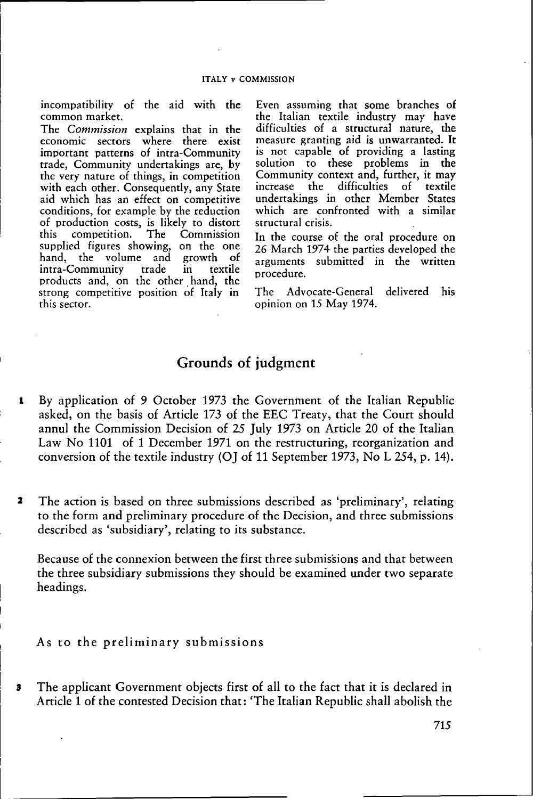incompatibility of the aid with the common market.

The *Commission* explains that in the economic sectors where there exist important patterns of intra-Community trade, Community undertakings are, by the very nature of things, in competition with each other. Consequently, any State aid which has an effect on competitive conditions, for example by the reduction of production costs, is likely to distort<br>this competition. The Commission The Commission supplied figures showing, on the one hand, the volume and growth of<br>intra-Community trade in textile intra-Community products and, on the other hand, the strong competitive position of Italy in this sector.

Even assuming that some branches of the Italian textile industry may have difficulties of a structural nature, the measure granting aid is unwarranted. It is not capable of providing a lasting solution to these problems in the Community context and, further, it may increase the difficulties of textile undertakings in other Member States which are confronted with a similar structural crisis.

In the course of the oral procedure on 26 March 1974 the parties developed the arguments submitted in the written procedure.

The Advocate-General delivered his opinion on 15 May 1974.

# Grounds of judgment

- <sup>1</sup> By application of 9 October 1973 the Government of the Italian Republic asked, on the basis of Article 173 of the EEC Treaty, that the Court should annul the Commission Decision of 25 July 1973 on Article 20 of the Italian Law No 1101 of <sup>1</sup> December 1971 on the restructuring, reorganization and conversion of the textile industry (OJ of 11 September 1973, No L 254, p. 14).
- <sup>2</sup> The action is based on three submissions described as 'preliminary', relating to the form and preliminary procedure of the Decision, and three submissions described as 'subsidiary', relating to its substance.

Because of the connexion between the first three submissions and that between the three subsidiary submissions they should be examined under two separate headings.

As to the preliminary submissions

<sup>3</sup> The applicant Government objects first of all to the fact that it is declared in Article <sup>1</sup> of the contested Decision that: 'The Italian Republic shall abolish the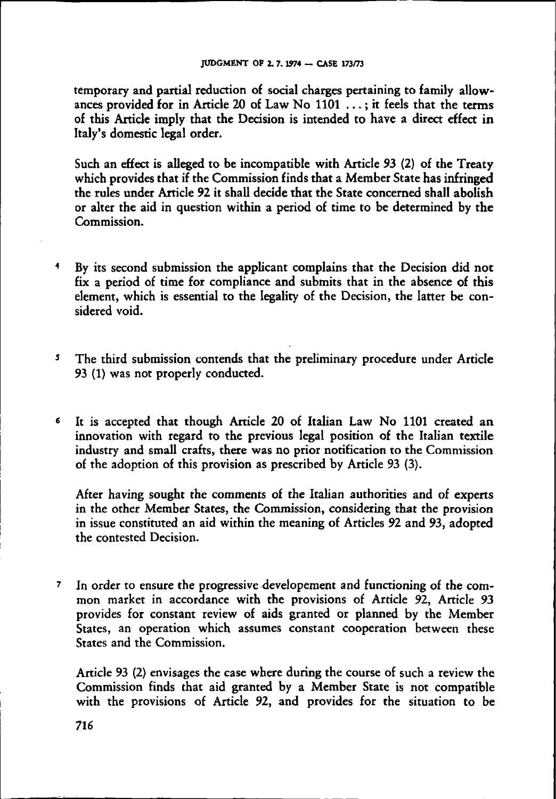temporary and partial reduction of social charges pertaining to family allowances provided for in Article 20 of Law No  $1101$  ...; it feels that the terms of this Article imply that the Decision is intended to have <sup>a</sup> direct effect in Italy's domestic legal order.

Such an effect is alleged to be incompatible with Article 93 (2) of the Treaty which provides that if the Commission finds that <sup>a</sup> Member State has infringed the rules under Article 92 it shall decide that the State concerned shall abolish or alter the aid in question within a period of time to be determined by the Commission.

- <sup>4</sup> By its second submission the applicant complains that the Decision did not fix <sup>a</sup> period of time for compliance and submits that in the absence of this element, which is essential to the legality of the Decision, the latter be considered void.
- <sup>5</sup> The third submission contends that the preliminary procedure under Article 93 (1) was not properly conducted.
- <sup>6</sup> It is accepted that though Article 20 of Italian Law No 1101 created an innovation with regard to the previous legal position of the Italian textile industry and small crafts, there was no prior notification to the Commission of the adoption of this provision as prescribed by Article 93 (3).

After having sought the comments of the Italian authorities and of experts in the other Member States, the Commission, considering that the provision in issue constituted an aid within the meaning of Articles 92 and 93, adopted the contested Decision.

<sup>7</sup> In order to ensure the progressive developement and functioning of the common market in accordance with the provisions of Article 92, Article 93 provides for constant review of aids granted or planned by the Member States, an operation which assumes constant cooperation between these States and the Commission.

Article 93 (2) envisages the case where during the course of such a review the Commission finds that aid granted by a Member State is not compatible with the provisions of Article 92, and provides for the situation to be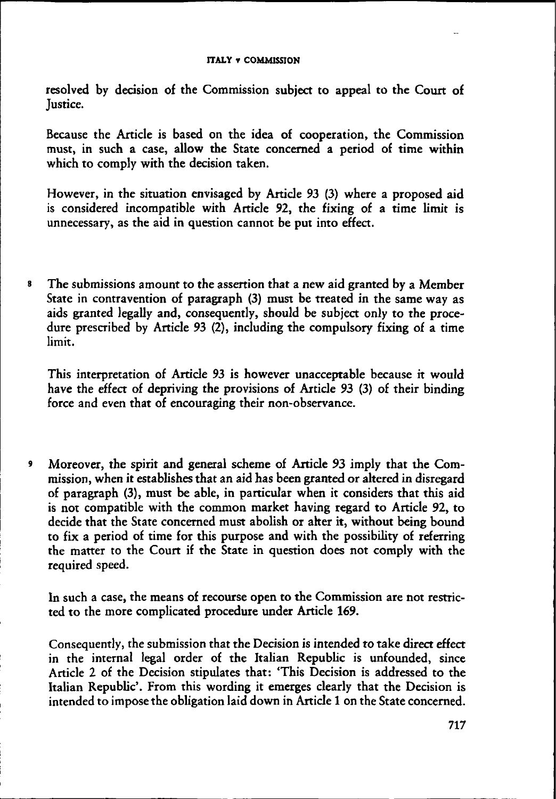resolved by decision of the Commission subject to appeal to the Court of Justice.

Because the Article is based on the idea of cooperation, the Commission must, in such a case, allow the State concerned a period of time within which to comply with the decision taken.

However, in the situation envisaged by Article 93 (3) where a proposed aid is considered incompatible with Article 92, the fixing of <sup>a</sup> time limit is unnecessary, as the aid in question cannot be put into effect.

<sup>8</sup> The submissions amount to the assertion that a new aid granted by a Member State in contravention of paragraph (3) must be treated in the same way as aids granted legally and, consequently, should be subject only to the procedure prescribed by Article 93 (2), including the compulsory fixing of a time limit.

This interpretation of Article 93 is however unacceptable because it would have the effect of depriving the provisions of Article 93 (3) of their binding force and even that of encouraging their non-observance.

<sup>9</sup> Moreover, the spirit and general scheme of Article 93 imply that the Commission, when it establishes that an aid has been granted or altered in disregard of paragraph (3), must be able, in particular when it considers that this aid is not compatible with the common market having regard to Article 92, to decide that the State concerned must abolish or alter it, without being bound to fix <sup>a</sup> period of time for this purpose and with the possibility of referring the matter to the Court if the State in question does not comply with the required speed.

In such a case, the means of recourse open to the Commission are not restricted to the more complicated procedure under Article 169.

Consequently, the submission that the Decision is intended to take direct effect in the internal legal order of the Italian Republic is unfounded, since Article 2 of the Decision stipulates that: 'This Decision is addressed to the Italian Republic'. From this wording it emerges clearly that the Decision is intended to impose the obligation laid down in Article <sup>1</sup> on the State concerned.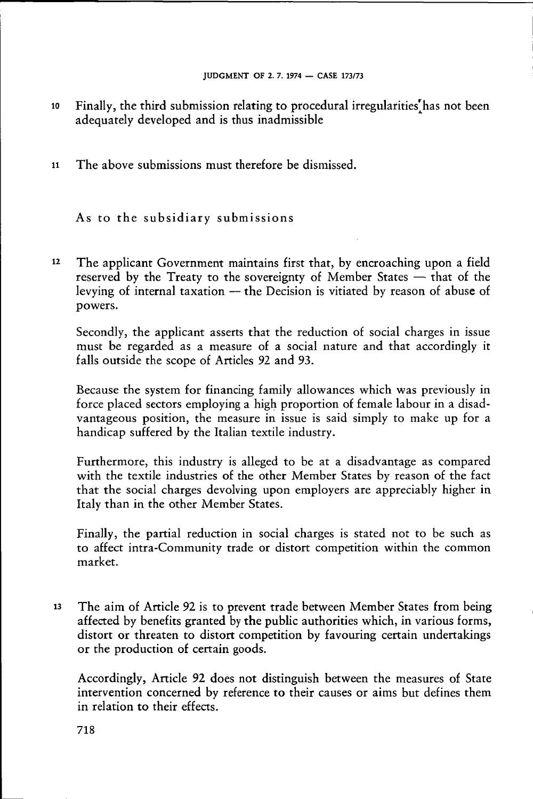- <sup>10</sup> Finally, the third submission relating to procedural irregularities has not been adequately developed and is thus inadmissible
- <sup>11</sup> The above submissions must therefore be dismissed.

As to the subsidiary submissions

<sup>12</sup> The applicant Government maintains first that, by encroaching upon a field reserved by the Treaty to the sovereignty of Member States — that of the levying of internal taxation — the Decision is vitiated by reason of abuse of powers.

Secondly, the applicant asserts that the reduction of social charges in issue must be regarded as <sup>a</sup> measure of <sup>a</sup> social nature and that accordingly it falls outside the scope of Articles 92 and 93.

Because the system for financing family allowances which was previously in force placed sectors employing a high proportion of female labour in a disadvantageous position, the measure in issue is said simply to make up for a handicap suffered by the Italian textile industry.

Furthermore, this industry is alleged to be at <sup>a</sup> disadvantage as compared with the textile industries of the other Member States by reason of the fact that the social charges devolving upon employers are appreciably higher in Italy than in the other Member States.

Finally, the partial reduction in social charges is stated not to be such as to affect intra-Community trade or distort competition within the common market.

<sup>13</sup> The aim of Article 92 is to prevent trade between Member States from being affected by benefits granted by the public authorities which, in various forms, distort or threaten to distort competition by favouring certain undertakings or the production of certain goods.

Accordingly, Article 92 does not distinguish between the measures of State intervention concerned by reference to their causes or aims but defines them in relation to their effects.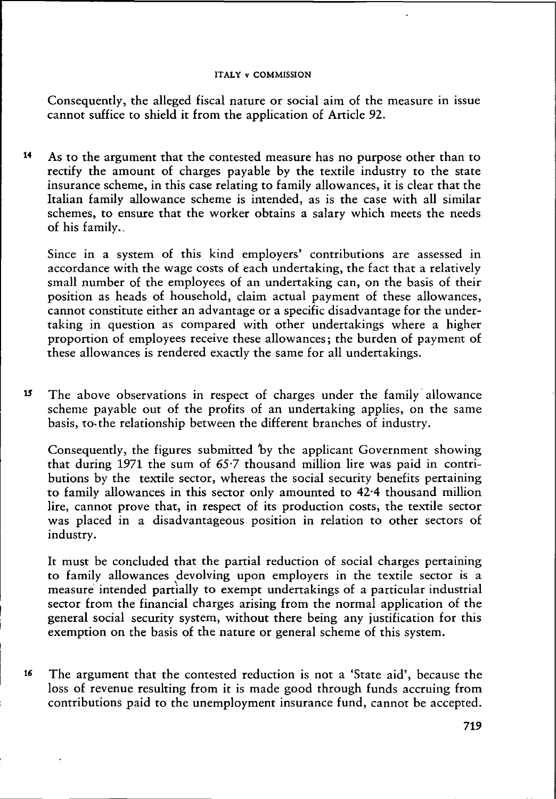#### ITALY v COMMISSION

Consequently, the alleged fiscal nature or social aim of the measure in issue cannot suffice to shield it from the application of Article 92.

<sup>14</sup> As to the argument that the contested measure has no purpose other than to rectify the amount of charges payable by the textile industry to the state insurance scheme, in this case relating to family allowances, it is clear that the Italian family allowance scheme is intended, as is the case with all similar schemes, to ensure that the worker obtains a salary which meets the needs of his family..

Since in a system of this kind employers' contributions are assessed in accordance with the wage costs of each undertaking, the fact that a relatively small number of the employees of an undertaking can, on the basis of their position as heads of household, claim actual payment of these allowances, cannot constitute either an advantage or a specific disadvantage for the undertaking in question as compared with other undertakings where a higher proportion of employees receive these allowances; the burden of payment of these allowances is rendered exactly the same for all undertakings.

<sup>15</sup> The above observations in respect of charges under the family allowance scheme payable out of the profits of an undertaking applies, on the same basis, to-the relationship between the different branches of industry.

Consequently, the figures submitted by the applicant Government showing that during 1971 the sum of 65.7 thousand million lire was paid in contributions by the textile sector, whereas the social security benefits pertaining to family allowances in this sector only amounted to 42.4 thousand million lire, cannot prove that, in respect of its production costs, the textile sector was placed in a disadvantageous position in relation to other sectors of industry.

It must be concluded that the partial reduction of social charges pertaining to family allowances devolving upon employers in the textile sector is a measure intended partially to exempt undertakings of a particular industrial sector from the financial charges arising from the normal application of the general social security system, without there being any justification for this exemption on the basis of the nature or general scheme of this system.

<sup>16</sup> The argument that the contested reduction is not a 'State aid', because the loss of revenue resulting from it is made good through funds accruing from contributions paid to the unemployment insurance fund, cannot be accepted.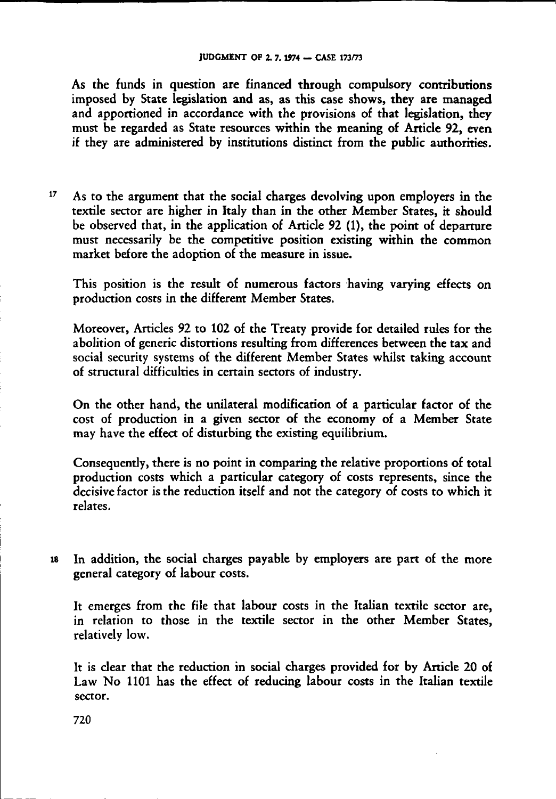### JUDGMENT OF 2. 7. 1974 — CASE 173/73

As the funds in question are financed through compulsory contributions imposed by State legislation and as, as this case shows, they are managed and apportioned in accordance with the provisions of that legislation, they must be regarded as State resources within the meaning of Article 92, even if they are administered by institutions distinct from the public authorities.

<sup>17</sup> As to the argument that the social charges devolving upon employers in the textile sector are higher in Italy than in the other Member States, it should be observed that, in the application of Article 92 (1), the point of departure must necessarily be the competitive position existing within the common market before the adoption of the measure in issue.

This position is the result of numerous factors having varying effects on production costs in the different Member States.

Moreover, Articles 92 to 102 of the Treaty provide for detailed rules for the abolition of generic distortions resulting from differences between the tax and social security systems of the different Member States whilst taking account of structural difficulties in certain sectors of industry.

On the other hand, the unilateral modification of a particular factor of the cost of production in <sup>a</sup> given sector of the economy of a Member State may have the effect of disturbing the existing equilibrium.

Consequently, there is no point in comparing the relative proportions of total production costs which a particular category of costs represents, since the decisive factor is the reduction itself and not the category of costs to which it relates.

<sup>18</sup> In addition, the social charges payable by employers are part of the more general category of labour costs.

It emerges from the file that labour costs in the Italian textile sector are, in relation to those in the textile sector in the other Member States, relatively low.

It is clear that the reduction in social charges provided for by Article 20 of Law No 1101 has the effect of reducing labour costs in the Italian textile sector.